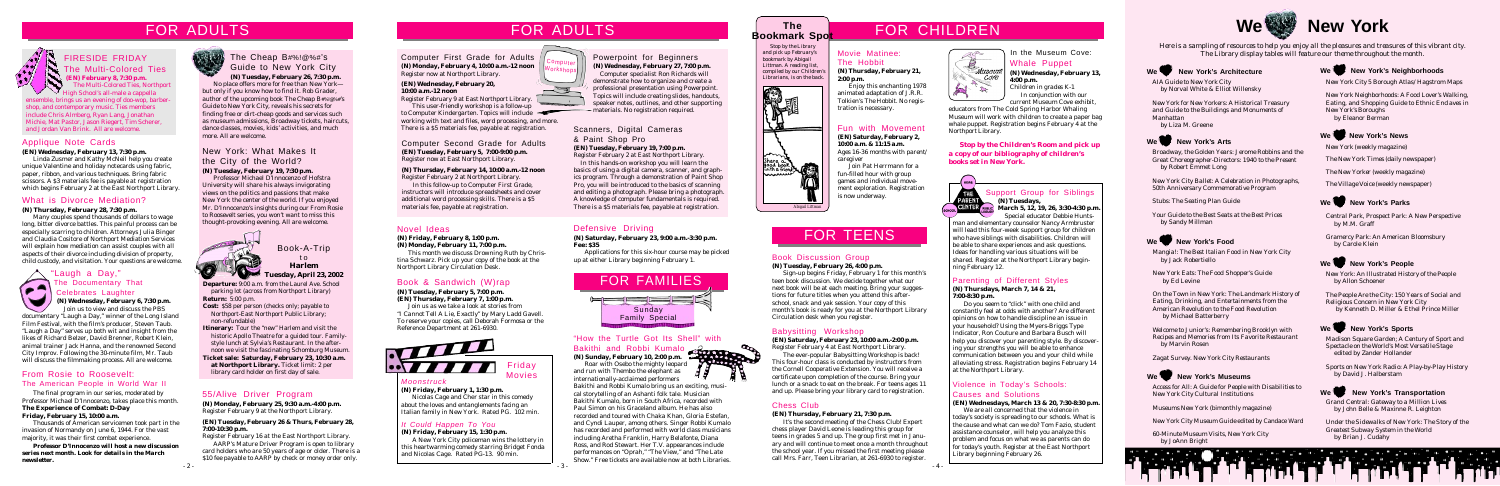**Departure:** 9:00 a.m. from the Laurel Ave. School parking lot (across from Northport Library) **Return:** 5:00 p.m.

**Cost:** \$58 per person (checks only; payable to Northport-East Northport Public Library; non-refundable)

**Itinerary:** Tour the "new" Harlem and visit the historic Apollo Theatre for a guided tour. Familystyle lunch at Sylvia's Restaurant. In the afternoon we visit the fascinating Schomburg Museum.

**Ticket sale: Saturday, February 23, 10:30 a.m. at Northport Library.** Ticket limit: 2 per library card holder on first day of sale.

Book-A-Trip t o **Harlem Tuesday, April 23, 2002** FOR TEENS

## FOR ADULTS

#### Chess Club

#### **(EN) Thursday, February 21, 7:30 p.m.**

It's the second meeting of the Chess Club! Expert chess player David Leone is leading this group for teens in grades 5 and up. The group first met in January and will continue to meet once a month throughout the school year. If you missed the first meeting please call Mrs. Farr, Teen Librarian, at 261-6930 to register.

#### Book Discussion Group **(N) Tuesday, February 26, 4:00 p.m.**

Sign-up begins Friday, February 1 for this month's teen book discussion. We decide together what our next book will be at each meeting. Bring your suggestions for future titles when you attend this afterschool, snack and yak session. Your copy of this month's book is ready for you at the Northport Library Circulation desk when you register.

#### Babysitting Workshop

**(EN) Saturday, February 23, 10:00 a.m.-2:00 p.m.** Register February 4 at East Northport Library.

The ever-popular Babysitting Workshop is back! This four-hour class is conducted by instructors from the Cornell Cooperative Extension. You will receive a certificate upon completion of the course. Bring your lunch or a snack to eat on the break. For teens ages 11 and up. Please bring your library card to registration.

### Powerpoint for Beginners

**(N) Wednesday, February 27, 7:00 p.m.** Computer specialist Ron Richards will demonstrate how to organize and create a professional presentation using Powerpoint. Topics will include creating slides, handouts, speaker notes, outlines, and other supporting materials. No registration required.

### What is Divorce Mediation?

#### **(N) Thursday, February 28, 7:30 p.m.**

Many couples spend thousands of dollars to wage long, bitter divorce battles. This painful process can be especially scarring to children. Attorneys Julia Binger and Claudia Cositore of Northport Mediation Services will explain how mediation can assist couples with all aspects of their divorce including division of property, child custody, and visitation. Your questions are welcome.

> card holders who are 50 years of age or older. There is a \$10 fee payable to AARP by check or money order only.

Scanners, Digital Cameras & Paint Shop Pro **(EN) Tuesday, February 19, 7:00 p.m.**

Register February 2 at East Northport Library.

In this hands-on workshop you will learn the basics of using a digital camera, scanner, and graphics program. Through a demonstration of Paint Shop Pro, you will be introduced to the basics of scanning and editing a photograph. Please bring a photograph. A knowledge of computer fundamentals is required. There is a \$5 materials fee, payable at registration.



### FIRESIDE FRIDAY The Multi-Colored Ties **(EN) February 8, 7:30 p.m.**

 The Multi-Colored Ties, Northport  $\vee$  High School's all-male a cappella ensemble, brings us an evening of doo-wop, barbershop, and contemporary music. Ties members include Chris Almberg, Ryan Lang, Jonathan Michie, Mat Pastor, Jason Riegert, Tim Scherer, and Jordan Van Brink. All are welcome.



**(N) Wednesday, February 13, 4:00 p.m.**

*Children in grades K-1* In conjunction with our current Museum Cove exhibit,

### Fun with Movement

**(EN) Saturday, February 2, 10:00 a.m. & 11:15 a.m.** *Ages 16-36 months with parent/ caregiver*

Join Pat Herrmann for a fun-filled hour with group games and individual movement exploration. Registration is now underway.

# Computer First Grade for Adults

**(N) Monday, February 4, 10:00 a.m.-12 noon** Register now at Northport Library.

#### **(EN) Wednesday, February 20, 10:00 a.m.-12 noon**

Register February 9 at East Northport Library. This user-friendly workshop is a follow-up

to Computer Kindergarten. Topics will include working with text and files, word processing, and more. There is a \$5 materials fee, payable at registration.

Computer Second Grade for Adults **(EN) Tuesday, February 5, 7:00-9:00 p.m.** Register now at East Northport Library.

#### **(N) Thursday, February 14, 10:00 a.m.-12 noon** Register February 2 at Northport Library.

In this follow-up to Computer First Grade, instructors will introduce spreadsheets and cover additional word processing skills. There is a \$5 materials fee, payable at registration.

### 55/Alive Driver Program

**(N) Monday, February 25, 9:30 a.m.-4:00 p.m.** Register February 9 at the Northport Library.

 $-4 - 2 - 3 -$ Bakithi and Robbi Kumalo bring us an exciting, musical storytelling of an Ashanti folk tale. Musician Bakithi Kumalo, born in South Africa, recorded with Paul Simon on his Graceland album. He has also recorded and toured with Chaka Khan, Gloria Estefan, and Cyndi Lauper, among others. Singer Robbi Kumalo has recorded and performed with world class musicians including Aretha Franklin, Harry Belafonte, Diana Ross, and Rod Stewart. Her T.V. appearances include performances on "Oprah," "The View," and "The Late Show." Free tickets are available now at both Libraries.

#### **(EN) Tuesday, February 26 & Thurs, February 28, 7:00-10:30 p.m.**

Register February 16 at the East Northport Library. AARP's Mature Driver Program is open to library Support Group for Siblings **(N) Tuesdays,**

**CENTER EVIRLIC** March 5, 12, 19, 26, 3:30-4:30 p.m. Special educator Debbie Hunts-

man and elementary counselor Nancy Armbruster will lead this four-week support group for children who have siblings with disabilities. Children will be able to share experiences and ask questions. Ideas for handling various situations will be shared. Register at the Northport Library beginning February 12.

### Parenting of Different Styles

#### **(N) Thursdays, March 7, 14 & 21, 7:00-8:30 p.m.**

Do you seem to "click" with one child and constantly feel at odds with another? Are different opinions on how to handle discipline an issue in your household? Using the Myers-Briggs Type Indicator, Ron Couture and Barbara Busch will help you discover your parenting style. By discovering your strengths you will be able to enhance communication between you and your child while alleviating stress. Registration begins February 14 at the Northport Library.

#### Violence in Today's Schools: Causes and Solutions

**(EN) Wednesdays, March 13 & 20, 7:30-8:30 p.m.**

We are all concerned that the violence in today's society is spreading to our schools. What is the cause and what can we do? Tom Fazio, student assistance counselor, will help you analyze this problem and focus on what we as parents can do for today's youth. Register at the East Northport Library beginning February 26.



# **New York**

### "Laugh a Day," The Documentary That Celebrates Laughter

**(N) Wednesday, February 6, 7:30 p.m.** Join us to view and discuss the PBS

documentary "Laugh a Day," winner of the Long Island Film Festival, with the film's producer, Steven Taub. "Laugh a Day" serves up both wit and insight from the likes of Richard Belzer, David Brenner, Robert Klein, animal trainer Jack Hanna, and the renowned Second City Improv. Following the 30-minute film, Mr. Taub will discuss the filmmaking process. All are welcome.

#### Applique Note Cards

#### **(EN) Wednesday, February 13, 7:30 p.m.**

Linda Zusmer and Kathy McNeil help you create unique Valentine and holiday notecards using fabric, paper, ribbon, and various techniques. Bring fabric scissors. A \$3 materials fee is payable at registration which begins February 2 at the East Northport Library.

 *Stop by the Library and pick up February's bookmark by Abigail Littman. A reading list, compiled by our Children's Librarians, is on the back.*



## FOR ADULTS FOR ADULTS FOR ADULTS FOR AND The Section of the FOR CHILDREN

### Defensive Driving

**(N) Saturday, February 23, 9:00 a.m.-3:30 p.m. Fee: \$35**

Applications for this six-hour course may be picked up at either Library beginning February 1.

#### Novel Ideas

#### **(N) Friday, February 8, 1:00 p.m. (N) Monday, February 11, 7:00 p.m.**

This month we discuss *Drowning Ruth* by Christina Schwarz. Pick up your copy of the book at the Northport Library Circulation Desk.

### Book & Sandwich (W)rap

#### **(N) Tuesday, February 5, 7:00 p.m. (EN) Thursday, February 7, 1:00 p.m.**

Join us as we take a look at stories from *"I Cannot Tell A Lie, Exactly"* by Mary Ladd Gavell. To reserve your copies, call Deborah Formosa or the Reference Department at 261-6930.



### **The Bookmark Spot**

### The Cheap B#%!@%#'s Guide to New York City **(N) Tuesday, February 26, 7:30 p.m.**

No place offers more for free than New York but only if you know how to find it. Rob Grader, author of the upcoming book *The Cheap B#%!@%#'s Guide to New York City*, reveals his secrets for finding free or dirt-cheap goods and services such as museum admissions, Broadway tickets, haircuts, dance classes, movies, kids' activities, and much more. All are welcome.

### *Moonstruck*

**(N) Friday, February 1, 1:30 p.m.** Nicolas Cage and Cher star in this comedy about the loves and entanglements facing an Italian family in New York. Rated PG. 102 min.

Friday Movies

#### "How the Turtle Got Its Shell" with Bakithi and Robbi Kumalo

**(N) Sunday, February 10, 2:00 p.m.** Roar with Osebo the mighty leopard

and run with Thembo the elephant as internationally-acclaimed performers



### Movie Matinee: The Hobbit

**(N) Thursday, February 21, 2:00 p.m.**

Enjoy this enchanting 1978 animated adaptation of J.R.R. Tolkien's *The Hobbit*. No registration is necessary.

In the Museum Cove:

educators from The Cold Spring Harbor Whaling Museum will work with children to create a paper bag whale puppet. Registration begins February 4 at the Northport Library.

> *Mangia!: The Best Italian Food in New York City* by Jack Robertiello

*New York Eats: The Food Shopper's Guide* by Ed Levine

*On the Town in New York: The Landmark History of Eating, Drinking, and Entertainments from the American Revolution to the Food Revolution* by Michael Batterberry

*Welcome to Junior's: Remembering Brooklyn with Recipes and Memories from Its Favorite Restaurant* by Marvin Rosen

*Zagat Survey. New York City Restaurants*



#### We New York's Museums

*Access for All: A Guide for People with Disabilities to New York City Cultural Institutions*

*Museums New York* (bimonthly magazine)

*New York City Museum Guide* edited by Candace Ward

*60-Minute Museum Visits, New York City* by JoAnn Bright



#### We New York's Neighborhoods

*Central Park, Prospect Park: A New Perspective* by M.M. Graff

*Gramercy Park: An American Bloomsbury* by Carole Klein

### We New York's People

*Madison Square Garden; A Century of Sport and Spectacle on the World's Most Versatile Stage* edited by Zander Hollander

*Sports on New York Radio: A Play-by-Play History* by David J. Halberstam



#### We New York's Transportation

*Broadway, the Golden Years: Jerome Robbins and the Great Choreographer-Directors: 1940 to the Present* by Robert Emmet Long

*New York City Ballet: A Celebration in Photographs, 50th Anniversary Commemorative Program*

*Stubs: The Seating Plan Guide*

*Your Guide to the Best Seats at the Best Prices* by Sandy Millman



#### We New York's Food

*New York City 5 Borough Atlas/*Hagstrom Maps

*New York Neighborhoods: A Food Lover's Walking, Eating, and Shopping Guide to Ethnic Enclaves in New York's Boroughs* by Eleanor Berman

We New York's News

*AIA Guide to New York City* by Norval White & Elliot Willensky

*New York for New Yorkers: A Historical Treasury and Guide to the Buildings and Monuments of Manhattan* by Liza M. Greene



#### We New York's Arts



*Here is a sampling of resources to help you enjoy all the pleasures and treasures of this vibrant city. The Library display tables will feature our theme throughout the month.*

*New York* (weekly magazine)

*The New York Times* (daily newspaper)

*The New Yorker* (weekly magazine)

*The Village Voice* (weekly newspaper)



*New York: An Illustrated History of the People* by Allon Schoener

*The People Are the City: 150 Years of Social and Religious Concern in New York City* by Kenneth D. Miller & Ethel Prince Miller



### We New York's Sports

*Grand Central: Gateway to a Million Lives* by John Belle & Maxinne R. Leighton

*Under the Sidewalks of New York: The Story of the Greatest Subway System in the World* by Brian J. Cudahy



#### From Rosie to Roosevelt: The American People in World War II

The final program in our series, moderated by Professor Michael D'Innocenzo, takes place this month. **The Experience of Combat:** *D-Day* **Friday, February 15, 10:00 a.m.**

Thousands of American servicemen took part in the invasion of Normandy on June 6, 1944. For the vast majority, it was their first combat experience.

*Professor D'Innocenzo will host a new discussion series next month. Look for details in the March newsletter.*





*Stop by the Children's Room and pick up a copy of our bibliography of children's books set in New York.*



#### *It Could Happen To You*

**(N) Friday, February 15, 1:30 p.m.** A New York City policeman wins the lottery in this heartwarming comedy starring Bridget Fonda and Nicolas Cage. Rated PG-13. 90 min.

### New York: What Makes It the City of the World?

#### **(N) Tuesday, February 19, 7:30 p.m.**

Professor Michael D'Innocenzo of Hofstra University will share his always invigorating views on the politics and passions that make New York the center of the world. If you enjoyed Mr. D'Innocenzo's insights during our *From Rosie to Roosevelt* series, you won't want to miss this thought-provoking evening. All are welcome.